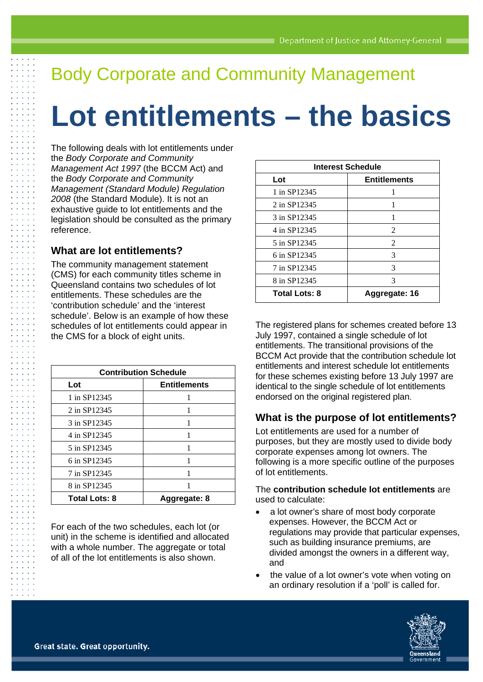## Body Corporate and Community Management

# **Lot entitlements – the basics**

The following deals with lot entitlements under the *Body Corporate and Community Management Act 1997* (the BCCM Act) and the *Body Corporate and Community Management (Standard Module) Regulation 2008* (the Standard Module). It is not an exhaustive guide to lot entitlements and the legislation should be consulted as the primary reference.

#### **What are lot entitlements?**

The community management statement (CMS) for each community titles scheme in Queensland contains two schedules of lot entitlements. These schedules are the 'contribution schedule' and the 'interest schedule'. Below is an example of how these schedules of lot entitlements could appear in the CMS for a block of eight units.

| <b>Contribution Schedule</b> |                     |
|------------------------------|---------------------|
| Lot                          | <b>Entitlements</b> |
| 1 in SP12345                 |                     |
| 2 in SP12345                 |                     |
| 3 in SP12345                 |                     |
| 4 in SP12345                 |                     |
| 5 in SP12345                 |                     |
| 6 in SP12345                 |                     |
| 7 in SP12345                 |                     |
| 8 in SP12345                 |                     |
| <b>Total Lots: 8</b>         | Aggregate: 8        |

For each of the two schedules, each lot (or unit) in the scheme is identified and allocated with a whole number. The aggregate or total of all of the lot entitlements is also shown.

| <b>Interest Schedule</b> |                     |
|--------------------------|---------------------|
| Lot                      | <b>Entitlements</b> |
| 1 in SP12345             |                     |
| 2 in SP12345             | 1                   |
| 3 in SP12345             |                     |
| 4 in SP12345             | 2                   |
| 5 in SP12345             | 2                   |
| 6 in SP12345             | 3                   |
| 7 in SP12345             | 3                   |
| 8 in SP12345             | 3                   |
| <b>Total Lots: 8</b>     | Aggregate: 16       |

The registered plans for schemes created before 13 July 1997, contained a single schedule of lot entitlements. The transitional provisions of the BCCM Act provide that the contribution schedule lot entitlements and interest schedule lot entitlements for these schemes existing before 13 July 1997 are identical to the single schedule of lot entitlements endorsed on the original registered plan.

#### **What is the purpose of lot entitlements?**

Lot entitlements are used for a number of purposes, but they are mostly used to divide body corporate expenses among lot owners. The following is a more specific outline of the purposes of lot entitlements.

#### The **contribution schedule lot entitlements** are used to calculate:

- a lot owner's share of most body corporate expenses. However, the BCCM Act or regulations may provide that particular expenses, such as building insurance premiums, are divided amongst the owners in a different way, and
- the value of a lot owner's vote when voting on an ordinary resolution if a 'poll' is called for.

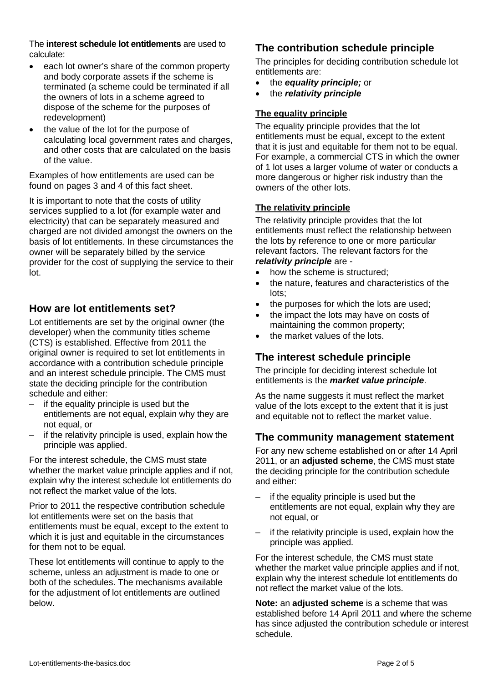The **interest schedule lot entitlements** are used to calculate:

- each lot owner's share of the common property and body corporate assets if the scheme is terminated (a scheme could be terminated if all the owners of lots in a scheme agreed to dispose of the scheme for the purposes of redevelopment)
- the value of the lot for the purpose of calculating local government rates and charges, and other costs that are calculated on the basis of the value.

Examples of how entitlements are used can be found on pages 3 and 4 of this fact sheet.

It is important to note that the costs of utility services supplied to a lot (for example water and electricity) that can be separately measured and charged are not divided amongst the owners on the basis of lot entitlements. In these circumstances the owner will be separately billed by the service provider for the cost of supplying the service to their lot.

#### **How are lot entitlements set?**

Lot entitlements are set by the original owner (the developer) when the community titles scheme (CTS) is established. Effective from 2011 the original owner is required to set lot entitlements in accordance with a contribution schedule principle and an interest schedule principle. The CMS must state the deciding principle for the contribution schedule and either:

- if the equality principle is used but the entitlements are not equal, explain why they are not equal, or
- if the relativity principle is used, explain how the principle was applied.

For the interest schedule, the CMS must state whether the market value principle applies and if not, explain why the interest schedule lot entitlements do not reflect the market value of the lots.

Prior to 2011 the respective contribution schedule lot entitlements were set on the basis that entitlements must be equal, except to the extent to which it is just and equitable in the circumstances for them not to be equal.

These lot entitlements will continue to apply to the scheme, unless an adjustment is made to one or both of the schedules. The mechanisms available for the adjustment of lot entitlements are outlined below.

### **The contribution schedule principle**

The principles for deciding contribution schedule lot entitlements are:

- the *equality principle;* or
- the *relativity principle*

#### **The equality principle**

The equality principle provides that the lot entitlements must be equal, except to the extent that it is just and equitable for them not to be equal. For example, a commercial CTS in which the owner of 1 lot uses a larger volume of water or conducts a more dangerous or higher risk industry than the owners of the other lots.

#### **The relativity principle**

The relativity principle provides that the lot entitlements must reflect the relationship between the lots by reference to one or more particular relevant factors. The relevant factors for the *relativity principle* are -

- how the scheme is structured;
- the nature, features and characteristics of the lots;
- the purposes for which the lots are used;
- the impact the lots may have on costs of maintaining the common property;
- the market values of the lots.

#### **The interest schedule principle**

The principle for deciding interest schedule lot entitlements is the *market value principle*.

As the name suggests it must reflect the market value of the lots except to the extent that it is just and equitable not to reflect the market value.

#### **The community management statement**

For any new scheme established on or after 14 April 2011, or an **adjusted scheme**, the CMS must state the deciding principle for the contribution schedule and either:

- if the equality principle is used but the entitlements are not equal, explain why they are not equal, or
- if the relativity principle is used, explain how the principle was applied.

For the interest schedule, the CMS must state whether the market value principle applies and if not, explain why the interest schedule lot entitlements do not reflect the market value of the lots.

**Note:** an **adjusted scheme** is a scheme that was established before 14 April 2011 and where the scheme has since adjusted the contribution schedule or interest schedule.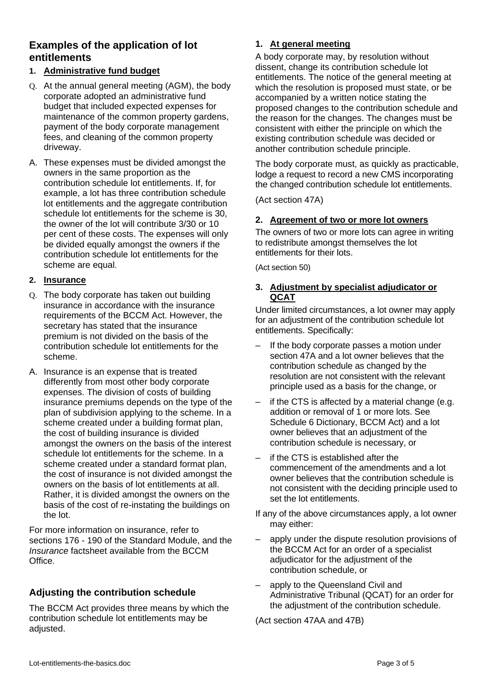#### **Examples of the application of lot entitlements**

#### **1. Administrative fund budget**

- Q. At the annual general meeting (AGM), the body corporate adopted an administrative fund budget that included expected expenses for maintenance of the common property gardens, payment of the body corporate management fees, and cleaning of the common property driveway.
- A. These expenses must be divided amongst the owners in the same proportion as the contribution schedule lot entitlements. If, for example, a lot has three contribution schedule lot entitlements and the aggregate contribution schedule lot entitlements for the scheme is 30, the owner of the lot will contribute 3/30 or 10 per cent of these costs. The expenses will only be divided equally amongst the owners if the contribution schedule lot entitlements for the scheme are equal.

#### **2. Insurance**

- Q. The body corporate has taken out building insurance in accordance with the insurance requirements of the BCCM Act. However, the secretary has stated that the insurance premium is not divided on the basis of the contribution schedule lot entitlements for the scheme.
- A. Insurance is an expense that is treated differently from most other body corporate expenses. The division of costs of building insurance premiums depends on the type of the plan of subdivision applying to the scheme. In a scheme created under a building format plan, the cost of building insurance is divided amongst the owners on the basis of the interest schedule lot entitlements for the scheme. In a scheme created under a standard format plan, the cost of insurance is not divided amongst the owners on the basis of lot entitlements at all. Rather, it is divided amongst the owners on the basis of the cost of re-instating the buildings on the lot.

For more information on insurance, refer to sections 176 - 190 of the Standard Module, and the *Insurance* factsheet available from the BCCM Office.

#### **Adjusting the contribution schedule**

The BCCM Act provides three means by which the contribution schedule lot entitlements may be adjusted.

#### **1. At general meeting**

A body corporate may, by resolution without dissent, change its contribution schedule lot entitlements. The notice of the general meeting at which the resolution is proposed must state, or be accompanied by a written notice stating the proposed changes to the contribution schedule and the reason for the changes. The changes must be consistent with either the principle on which the existing contribution schedule was decided or another contribution schedule principle.

The body corporate must, as quickly as practicable, lodge a request to record a new CMS incorporating the changed contribution schedule lot entitlements.

(Act section 47A)

#### **2. Agreement of two or more lot owners**

The owners of two or more lots can agree in writing to redistribute amongst themselves the lot entitlements for their lots.

(Act section 50)

#### **3. Adjustment by specialist adjudicator or QCAT**

Under limited circumstances, a lot owner may apply for an adjustment of the contribution schedule lot entitlements. Specifically:

- If the body corporate passes a motion under section 47A and a lot owner believes that the contribution schedule as changed by the resolution are not consistent with the relevant principle used as a basis for the change, or
- if the CTS is affected by a material change (e.g. addition or removal of 1 or more lots. See Schedule 6 Dictionary, BCCM Act) and a lot owner believes that an adjustment of the contribution schedule is necessary, or
- if the CTS is established after the commencement of the amendments and a lot owner believes that the contribution schedule is not consistent with the deciding principle used to set the lot entitlements.
- If any of the above circumstances apply, a lot owner may either:
- apply under the dispute resolution provisions of the BCCM Act for an order of a specialist adjudicator for the adjustment of the contribution schedule, or
- apply to the Queensland Civil and Administrative Tribunal (QCAT) for an order for the adjustment of the contribution schedule.

(Act section 47AA and 47B)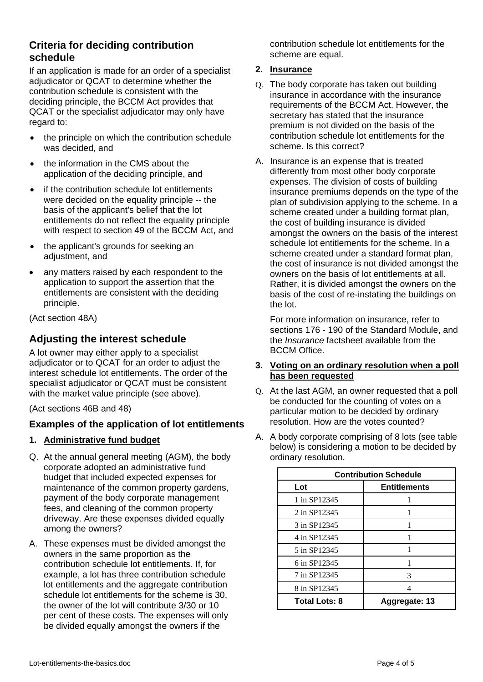#### **Criteria for deciding contribution schedule**

If an application is made for an order of a specialist adjudicator or QCAT to determine whether the contribution schedule is consistent with the deciding principle, the BCCM Act provides that QCAT or the specialist adjudicator may only have regard to:

- the principle on which the contribution schedule was decided, and
- the information in the CMS about the application of the deciding principle, and
- if the contribution schedule lot entitlements were decided on the equality principle -- the basis of the applicant's belief that the lot entitlements do not reflect the equality principle with respect to section 49 of the BCCM Act, and
- the applicant's grounds for seeking an adiustment, and
- any matters raised by each respondent to the application to support the assertion that the entitlements are consistent with the deciding principle.

(Act section 48A)

#### **Adjusting the interest schedule**

A lot owner may either apply to a specialist adjudicator or to QCAT for an order to adjust the interest schedule lot entitlements. The order of the specialist adjudicator or QCAT must be consistent with the market value principle (see above).

(Act sections 46B and 48)

#### **Examples of the application of lot entitlements**

- **1. Administrative fund budget**
- Q. At the annual general meeting (AGM), the body corporate adopted an administrative fund budget that included expected expenses for maintenance of the common property gardens, payment of the body corporate management fees, and cleaning of the common property driveway. Are these expenses divided equally among the owners?
- A. These expenses must be divided amongst the owners in the same proportion as the contribution schedule lot entitlements. If, for example, a lot has three contribution schedule lot entitlements and the aggregate contribution schedule lot entitlements for the scheme is 30, the owner of the lot will contribute 3/30 or 10 per cent of these costs. The expenses will only be divided equally amongst the owners if the

contribution schedule lot entitlements for the scheme are equal.

#### **2. Insurance**

- Q. The body corporate has taken out building insurance in accordance with the insurance requirements of the BCCM Act. However, the secretary has stated that the insurance premium is not divided on the basis of the contribution schedule lot entitlements for the scheme. Is this correct?
- A. Insurance is an expense that is treated differently from most other body corporate expenses. The division of costs of building insurance premiums depends on the type of the plan of subdivision applying to the scheme. In a scheme created under a building format plan, the cost of building insurance is divided amongst the owners on the basis of the interest schedule lot entitlements for the scheme. In a scheme created under a standard format plan, the cost of insurance is not divided amongst the owners on the basis of lot entitlements at all. Rather, it is divided amongst the owners on the basis of the cost of re-instating the buildings on the lot.

For more information on insurance, refer to sections 176 - 190 of the Standard Module, and the *Insurance* factsheet available from the BCCM Office.

#### **3. Voting on an ordinary resolution when a poll has been requested**

- Q. At the last AGM, an owner requested that a poll be conducted for the counting of votes on a particular motion to be decided by ordinary resolution. How are the votes counted?
- A. A body corporate comprising of 8 lots (see table below) is considering a motion to be decided by ordinary resolution.

| <b>Contribution Schedule</b> |                     |
|------------------------------|---------------------|
| Lot                          | <b>Entitlements</b> |
| 1 in SP12345                 |                     |
| 2 in SP12345                 |                     |
| 3 in SP12345                 |                     |
| 4 in SP12345                 |                     |
| 5 in SP12345                 |                     |
| 6 in SP12345                 |                     |
| 7 in SP12345                 | 3                   |
| 8 in SP12345                 |                     |
| <b>Total Lots: 8</b>         | Aggregate: 13       |